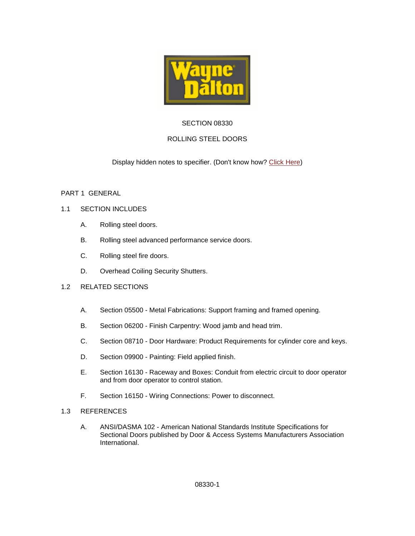

# SECTION 08330

# ROLLING STEEL DOORS

Display hidden notes to specifier. (Don't know how? [Click Here\)](http://www.arcat.com/sd/display_hidden_notes.shtml)

### PART 1 GENERAL

### 1.1 SECTION INCLUDES

- A. Rolling steel doors.
- B. Rolling steel advanced performance service doors.
- C. Rolling steel fire doors.
- D. Overhead Coiling Security Shutters.

### 1.2 RELATED SECTIONS

- A. Section 05500 Metal Fabrications: Support framing and framed opening.
- B. Section 06200 Finish Carpentry: Wood jamb and head trim.
- C. Section 08710 Door Hardware: Product Requirements for cylinder core and keys.
- D. Section 09900 Painting: Field applied finish.
- E. Section 16130 Raceway and Boxes: Conduit from electric circuit to door operator and from door operator to control station.
- F. Section 16150 Wiring Connections: Power to disconnect.
- 1.3 REFERENCES
	- A. ANSI/DASMA 102 American National Standards Institute Specifications for Sectional Doors published by Door & Access Systems Manufacturers Association International.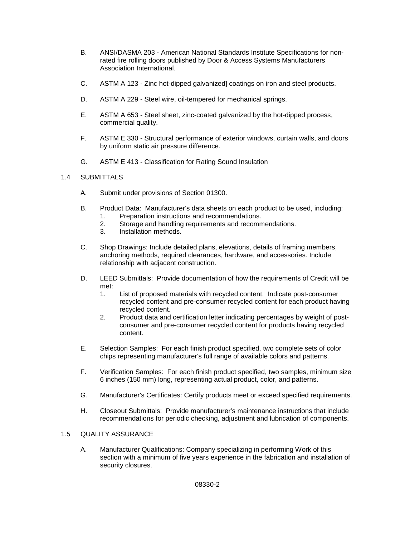- B. ANSI/DASMA 203 American National Standards Institute Specifications for nonrated fire rolling doors published by Door & Access Systems Manufacturers Association International.
- C. ASTM A 123 Zinc hot-dipped galvanized] coatings on iron and steel products.
- D. ASTM A 229 Steel wire, oil-tempered for mechanical springs.
- E. ASTM A 653 Steel sheet, zinc-coated galvanized by the hot-dipped process, commercial quality.
- F. ASTM E 330 Structural performance of exterior windows, curtain walls, and doors by uniform static air pressure difference.
- G. ASTM E 413 Classification for Rating Sound Insulation

### 1.4 SUBMITTALS

- A. Submit under provisions of Section 01300.
- B. Product Data: Manufacturer's data sheets on each product to be used, including:
	- 1. Preparation instructions and recommendations.
	- 2. Storage and handling requirements and recommendations.
	- 3. Installation methods.
- C. Shop Drawings: Include detailed plans, elevations, details of framing members, anchoring methods, required clearances, hardware, and accessories. Include relationship with adjacent construction.
- D. LEED Submittals: Provide documentation of how the requirements of Credit will be met:
	- 1. List of proposed materials with recycled content. Indicate post-consumer recycled content and pre-consumer recycled content for each product having recycled content.
	- 2. Product data and certification letter indicating percentages by weight of postconsumer and pre-consumer recycled content for products having recycled content.
- E. Selection Samples: For each finish product specified, two complete sets of color chips representing manufacturer's full range of available colors and patterns.
- F. Verification Samples: For each finish product specified, two samples, minimum size 6 inches (150 mm) long, representing actual product, color, and patterns.
- G. Manufacturer's Certificates: Certify products meet or exceed specified requirements.
- H. Closeout Submittals: Provide manufacturer's maintenance instructions that include recommendations for periodic checking, adjustment and lubrication of components.

#### 1.5 QUALITY ASSURANCE

A. Manufacturer Qualifications: Company specializing in performing Work of this section with a minimum of five years experience in the fabrication and installation of security closures.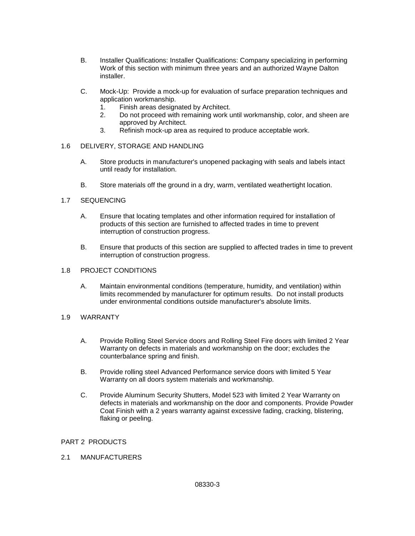- B. Installer Qualifications: Installer Qualifications: Company specializing in performing Work of this section with minimum three years and an authorized Wayne Dalton installer.
- C. Mock-Up: Provide a mock-up for evaluation of surface preparation techniques and application workmanship.
	- 1. Finish areas designated by Architect.
	- 2. Do not proceed with remaining work until workmanship, color, and sheen are approved by Architect.
	- 3. Refinish mock-up area as required to produce acceptable work.

### 1.6 DELIVERY, STORAGE AND HANDLING

- A. Store products in manufacturer's unopened packaging with seals and labels intact until ready for installation.
- B. Store materials off the ground in a dry, warm, ventilated weathertight location.

### 1.7 SEQUENCING

- A. Ensure that locating templates and other information required for installation of products of this section are furnished to affected trades in time to prevent interruption of construction progress.
- B. Ensure that products of this section are supplied to affected trades in time to prevent interruption of construction progress.

#### 1.8 PROJECT CONDITIONS

A. Maintain environmental conditions (temperature, humidity, and ventilation) within limits recommended by manufacturer for optimum results. Do not install products under environmental conditions outside manufacturer's absolute limits.

### 1.9 WARRANTY

- A. Provide Rolling Steel Service doors and Rolling Steel Fire doors with limited 2 Year Warranty on defects in materials and workmanship on the door; excludes the counterbalance spring and finish.
- B. Provide rolling steel Advanced Performance service doors with limited 5 Year Warranty on all doors system materials and workmanship.
- C. Provide Aluminum Security Shutters, Model 523 with limited 2 Year Warranty on defects in materials and workmanship on the door and components. Provide Powder Coat Finish with a 2 years warranty against excessive fading, cracking, blistering, flaking or peeling.

# PART 2 PRODUCTS

2.1 MANUFACTURERS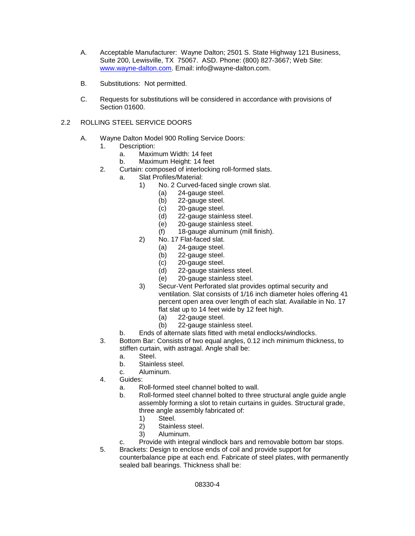- A. Acceptable Manufacturer: Wayne Dalton; 2501 S. State Highway 121 Business, Suite 200, Lewisville, TX 75067. ASD. Phone: (800) 827-3667; Web Site: [www.wayne-dalton.com.](http://www.wayne-dalton.com/) Email: info@wayne-dalton.com.
- B. Substitutions: Not permitted.
- C. Requests for substitutions will be considered in accordance with provisions of Section 01600.

# 2.2 ROLLING STEEL SERVICE DOORS

- A. Wayne Dalton Model 900 Rolling Service Doors:
	- 1. Description:
		- a. Maximum Width: 14 feet
		- b. Maximum Height: 14 feet
	- 2. Curtain: composed of interlocking roll-formed slats.
		- a. Slat Profiles/Material:
			- 1) No. 2 Curved-faced single crown slat.
				- (a) 24-gauge steel.
				- (b) 22-gauge steel.
				- (c) 20-gauge steel.
				- (d) 22-gauge stainless steel.
				- (e) 20-gauge stainless steel.
				- (f) 18-gauge aluminum (mill finish).
			- 2) No. 17 Flat-faced slat.
				- (a) 24-gauge steel.
				- (b) 22-gauge steel.
				- (c) 20-gauge steel.
				- (d) 22-gauge stainless steel.
				- (e) 20-gauge stainless steel.
			- 3) Secur-Vent Perforated slat provides optimal security and ventilation. Slat consists of 1/16 inch diameter holes offering 41 percent open area over length of each slat. Available in No. 17 flat slat up to 14 feet wide by 12 feet high.
				- (a) 22-gauge steel.
				- (b) 22-gauge stainless steel.
			- b. Ends of alternate slats fitted with metal endlocks/windlocks.
	- 3. Bottom Bar: Consists of two equal angles, 0.12 inch minimum thickness, to stiffen curtain, with astragal. Angle shall be:
		- a. Steel.
		- b. Stainless steel.
		- c. Aluminum.
	- 4. Guides:
		- a. Roll-formed steel channel bolted to wall.
		- b. Roll-formed steel channel bolted to three structural angle guide angle assembly forming a slot to retain curtains in guides. Structural grade, three angle assembly fabricated of:<br>1) Steel.
			-
			- 1) Steel.<br>2) Staink Stainless steel.
			- 3) Aluminum.
		- c. Provide with integral windlock bars and removable bottom bar stops.
	- 5. Brackets: Design to enclose ends of coil and provide support for counterbalance pipe at each end. Fabricate of steel plates, with permanently sealed ball bearings. Thickness shall be: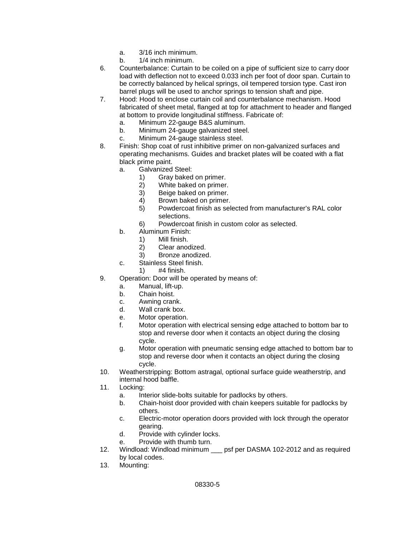- a. 3/16 inch minimum.
- b. 1/4 inch minimum.
- 6. Counterbalance: Curtain to be coiled on a pipe of sufficient size to carry door load with deflection not to exceed 0.033 inch per foot of door span. Curtain to be correctly balanced by helical springs, oil tempered torsion type. Cast iron barrel plugs will be used to anchor springs to tension shaft and pipe.
- 7. Hood: Hood to enclose curtain coil and counterbalance mechanism. Hood fabricated of sheet metal, flanged at top for attachment to header and flanged at bottom to provide longitudinal stiffness. Fabricate of:
	- a. Minimum 22-gauge B&S aluminum.
	- b. Minimum 24-gauge galvanized steel.
	- c. Minimum 24-gauge stainless steel.
- 8. Finish: Shop coat of rust inhibitive primer on non-galvanized surfaces and operating mechanisms. Guides and bracket plates will be coated with a flat black prime paint.
	- a. Galvanized Steel:
		- 1) Gray baked on primer.
		- 2) White baked on primer.
		- 3) Beige baked on primer.
		- 4) Brown baked on primer.
		- 5) Powdercoat finish as selected from manufacturer's RAL color selections.
		- 6) Powdercoat finish in custom color as selected.
	- b. Aluminum Finish:
		- 1) Mill finish.
		- 2) Clear anodized.
		- 3) Bronze anodized.
	- c. Stainless Steel finish.
		- 1) #4 finish.
- 9. Operation: Door will be operated by means of:
	- a. Manual, lift-up.
	- b. Chain hoist.
	- c. Awning crank.<br>d. Wall crank box
	- Wall crank box.
	- e. Motor operation.
	- f. Motor operation with electrical sensing edge attached to bottom bar to stop and reverse door when it contacts an object during the closing cycle.
	- g. Motor operation with pneumatic sensing edge attached to bottom bar to stop and reverse door when it contacts an object during the closing cycle.
- 10. Weatherstripping: Bottom astragal, optional surface guide weatherstrip, and internal hood baffle.
- 11. Locking:
	- a. Interior slide-bolts suitable for padlocks by others.
	- b. Chain-hoist door provided with chain keepers suitable for padlocks by others.
	- c. Electric-motor operation doors provided with lock through the operator gearing.
	- d. Provide with cylinder locks.
	- e. Provide with thumb turn.
- 12. Windload: Windload minimum \_\_\_ psf per DASMA 102-2012 and as required by local codes.
- 13. Mounting: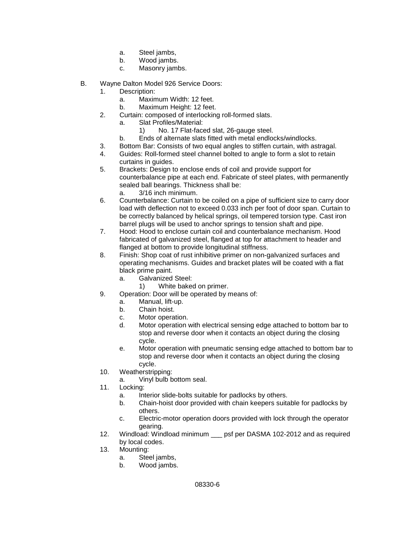- a. Steel jambs,
- b. Wood jambs.
- c. Masonry jambs.
- B. Wayne Dalton Model 926 Service Doors:
	- 1. Description:
		- a. Maximum Width: 12 feet.
		- b. Maximum Height: 12 feet.
	- 2. Curtain: composed of interlocking roll-formed slats.
		- a. Slat Profiles/Material:
			- 1) No. 17 Flat-faced slat, 26-gauge steel.
		- b. Ends of alternate slats fitted with metal endlocks/windlocks.
	- 3. Bottom Bar: Consists of two equal angles to stiffen curtain, with astragal.
	- 4. Guides: Roll-formed steel channel bolted to angle to form a slot to retain curtains in guides.
	- 5. Brackets: Design to enclose ends of coil and provide support for counterbalance pipe at each end. Fabricate of steel plates, with permanently sealed ball bearings. Thickness shall be:
		- a. 3/16 inch minimum.
	- 6. Counterbalance: Curtain to be coiled on a pipe of sufficient size to carry door load with deflection not to exceed 0.033 inch per foot of door span. Curtain to be correctly balanced by helical springs, oil tempered torsion type. Cast iron barrel plugs will be used to anchor springs to tension shaft and pipe.
	- 7. Hood: Hood to enclose curtain coil and counterbalance mechanism. Hood fabricated of galvanized steel, flanged at top for attachment to header and flanged at bottom to provide longitudinal stiffness.
	- 8. Finish: Shop coat of rust inhibitive primer on non-galvanized surfaces and operating mechanisms. Guides and bracket plates will be coated with a flat black prime paint.
		- a. Galvanized Steel:
			- 1) White baked on primer.
	- 9. Operation: Door will be operated by means of:
		- a. Manual, lift-up.
		- b. Chain hoist.
		- c. Motor operation.
		- d. Motor operation with electrical sensing edge attached to bottom bar to stop and reverse door when it contacts an object during the closing cycle.
		- e. Motor operation with pneumatic sensing edge attached to bottom bar to stop and reverse door when it contacts an object during the closing cycle.
	- 10. Weatherstripping:
		- a. Vinyl bulb bottom seal.
	- 11. Locking:
		- a. Interior slide-bolts suitable for padlocks by others.
		- b. Chain-hoist door provided with chain keepers suitable for padlocks by others.
		- c. Electric-motor operation doors provided with lock through the operator gearing.
	- 12. Windload: Windload minimum \_\_\_ psf per DASMA 102-2012 and as required by local codes.
	- 13. Mounting:
		- a. Steel jambs,<br>b. Wood jambs
		- Wood jambs.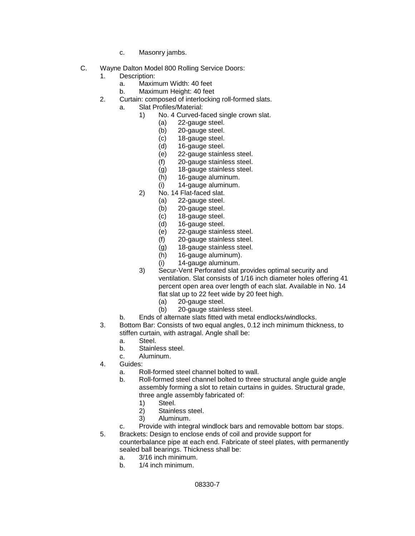- c. Masonry jambs.
- C. Wayne Dalton Model 800 Rolling Service Doors:
	- 1. Description:
		- a. Maximum Width: 40 feet
		- b. Maximum Height: 40 feet
	- 2. Curtain: composed of interlocking roll-formed slats.
		- a. Slat Profiles/Material:
			- 1) No. 4 Curved-faced single crown slat.
				- (a) 22-gauge steel.
				- (b) 20-gauge steel.
				- (c) 18-gauge steel.<br>(d) 16-gauge steel.
				- 16-gauge steel.
				- (e) 22-gauge stainless steel.
				- (f) 20-gauge stainless steel.
				- (g) 18-gauge stainless steel.
				- (h) 16-gauge aluminum.
				- (i) 14-gauge aluminum.
			- 2) No. 14 Flat-faced slat.
				- (a) 22-gauge steel.
				- (b) 20-gauge steel.
				- (c) 18-gauge steel.
				- (d) 16-gauge steel.
				- (e) 22-gauge stainless steel.
				- (f) 20-gauge stainless steel.
				- (g) 18-gauge stainless steel.
				- (h) 16-gauge aluminum).
				- (i) 14-gauge aluminum.
			- 3) Secur-Vent Perforated slat provides optimal security and ventilation. Slat consists of 1/16 inch diameter holes offering 41 percent open area over length of each slat. Available in No. 14 flat slat up to 22 feet wide by 20 feet high.
				- (a) 20-gauge steel.<br>(b) 20-gauge stainle
				- 20-gauge stainless steel.
			- b. Ends of alternate slats fitted with metal endlocks/windlocks.
	- 3. Bottom Bar: Consists of two equal angles, 0.12 inch minimum thickness, to stiffen curtain, with astragal. Angle shall be:
		- a. Steel.
		- b. Stainless steel.
		- c. Aluminum.
	- 4. Guides:
		- a. Roll-formed steel channel bolted to wall.
		- b. Roll-formed steel channel bolted to three structural angle guide angle assembly forming a slot to retain curtains in guides. Structural grade, three angle assembly fabricated of:
			- 1) Steel.
			- 2) Stainless steel.<br>3) Aluminum
			- 3) Aluminum.
		- c. Provide with integral windlock bars and removable bottom bar stops.
	- 5. Brackets: Design to enclose ends of coil and provide support for counterbalance pipe at each end. Fabricate of steel plates, with permanently sealed ball bearings. Thickness shall be:
		- a.  $3/16$  inch minimum.<br>b  $1/4$  inch minimum
		- 1/4 inch minimum.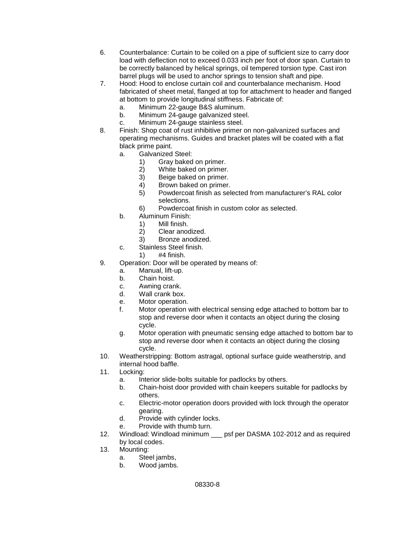- 6. Counterbalance: Curtain to be coiled on a pipe of sufficient size to carry door load with deflection not to exceed 0.033 inch per foot of door span. Curtain to be correctly balanced by helical springs, oil tempered torsion type. Cast iron barrel plugs will be used to anchor springs to tension shaft and pipe.
- 7. Hood: Hood to enclose curtain coil and counterbalance mechanism. Hood fabricated of sheet metal, flanged at top for attachment to header and flanged at bottom to provide longitudinal stiffness. Fabricate of:
	- a. Minimum 22-gauge B&S aluminum.
	- b. Minimum 24-gauge galvanized steel.
	- c. Minimum 24-gauge stainless steel.
- 8. Finish: Shop coat of rust inhibitive primer on non-galvanized surfaces and operating mechanisms. Guides and bracket plates will be coated with a flat black prime paint.
	- a. Galvanized Steel:
		- 1) Gray baked on primer.<br>2) White baked on primer
		- White baked on primer.
		- 3) Beige baked on primer.
		- 4) Brown baked on primer.
		- 5) Powdercoat finish as selected from manufacturer's RAL color selections.
		- 6) Powdercoat finish in custom color as selected.
	- b. Aluminum Finish:
		- 1) Mill finish.<br>2) Clear anod
		- Clear anodized.
		- 3) Bronze anodized.
	- c. Stainless Steel finish.
		- 1) #4 finish.
- 9. Operation: Door will be operated by means of:
	- a. Manual, lift-up.
	- b. Chain hoist.
	- c. Awning crank.
	- d. Wall crank box.
	- e. Motor operation.<br>f. Motor operation
	- Motor operation with electrical sensing edge attached to bottom bar to stop and reverse door when it contacts an object during the closing cycle.
	- g. Motor operation with pneumatic sensing edge attached to bottom bar to stop and reverse door when it contacts an object during the closing cycle.
- 10. Weatherstripping: Bottom astragal, optional surface guide weatherstrip, and internal hood baffle.
- 11. Locking:
	- a. Interior slide-bolts suitable for padlocks by others.
	- b. Chain-hoist door provided with chain keepers suitable for padlocks by others.
	- c. Electric-motor operation doors provided with lock through the operator gearing.
	- d. Provide with cylinder locks.
	- e. Provide with thumb turn.
- 12. Windload: Windload minimum \_\_\_ psf per DASMA 102-2012 and as required by local codes.
- 13. Mounting:
	- a. Steel jambs,<br>b. Wood jambs.
	- Wood jambs.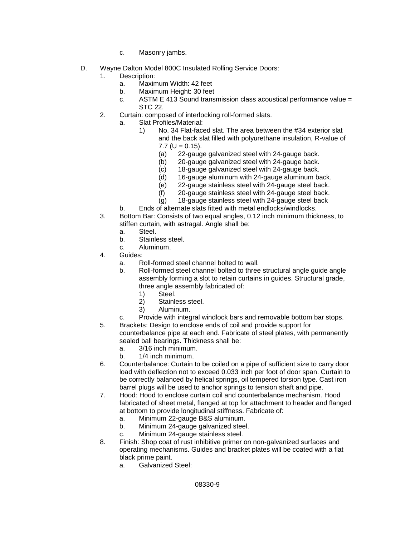- c. Masonry jambs.
- D. Wayne Dalton Model 800C Insulated Rolling Service Doors:
	- Description:
		- a. Maximum Width: 42 feet
		- b. Maximum Height: 30 feet
		- c. ASTM E 413 Sound transmission class acoustical performance value = STC 22.
	- 2. Curtain: composed of interlocking roll-formed slats.
		- a. Slat Profiles/Material:
			- 1) No. 34 Flat-faced slat. The area between the #34 exterior slat and the back slat filled with polyurethane insulation, R-value of  $7.7$  (U = 0.15).
				- (a) 22-gauge galvanized steel with 24-gauge back.<br>(b) 20-gauge galvanized steel with 24-gauge back.
				- 20-gauge galvanized steel with 24-gauge back.
				- (c) 18-gauge galvanized steel with 24-gauge back.
				- (d) 16-gauge aluminum with 24-gauge aluminum back.
				- (e) 22-gauge stainless steel with 24-gauge steel back.
				- (f) 20-gauge stainless steel with 24-gauge steel back.
				- (g) 18-gauge stainless steel with 24-gauge steel back
		- b. Ends of alternate slats fitted with metal endlocks/windlocks.
	- 3. Bottom Bar: Consists of two equal angles, 0.12 inch minimum thickness, to stiffen curtain, with astragal. Angle shall be:
		- a. Steel.
		- b. Stainless steel.
		- c. Aluminum.
	- 4. Guides:
		- a. Roll-formed steel channel bolted to wall.
		- b. Roll-formed steel channel bolted to three structural angle guide angle assembly forming a slot to retain curtains in guides. Structural grade, three angle assembly fabricated of:
			-
			- 1) Steel.<br>2) Staink 2) Stainless steel.<br>3) Aluminum.
			- 3) Aluminum.
		- c. Provide with integral windlock bars and removable bottom bar stops.
	- 5. Brackets: Design to enclose ends of coil and provide support for counterbalance pipe at each end. Fabricate of steel plates, with permanently sealed ball bearings. Thickness shall be:
		- a. 3/16 inch minimum.
		- b. 1/4 inch minimum.
	- 6. Counterbalance: Curtain to be coiled on a pipe of sufficient size to carry door load with deflection not to exceed 0.033 inch per foot of door span. Curtain to be correctly balanced by helical springs, oil tempered torsion type. Cast iron barrel plugs will be used to anchor springs to tension shaft and pipe.
	- 7. Hood: Hood to enclose curtain coil and counterbalance mechanism. Hood fabricated of sheet metal, flanged at top for attachment to header and flanged at bottom to provide longitudinal stiffness. Fabricate of:
		- a. Minimum 22-gauge B&S aluminum.
		- b. Minimum 24-gauge galvanized steel.
		- c. Minimum 24-gauge stainless steel.
	- 8. Finish: Shop coat of rust inhibitive primer on non-galvanized surfaces and operating mechanisms. Guides and bracket plates will be coated with a flat black prime paint.
		- a. Galvanized Steel: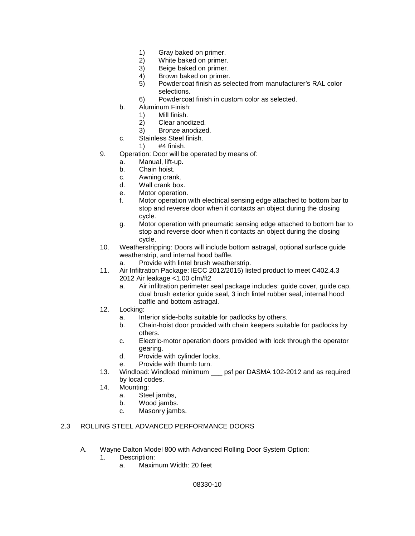- 1) Gray baked on primer.
- 2) White baked on primer.
- 3) Beige baked on primer.<br>4) Brown baked on primer.
- Brown baked on primer.
- 5) Powdercoat finish as selected from manufacturer's RAL color selections.
- 6) Powdercoat finish in custom color as selected.
- b. Aluminum Finish:
	- 1) Mill finish.<br>2) Clear anod
	- Clear anodized.
	- 3) Bronze anodized.
- c. Stainless Steel finish.
	- 1) #4 finish.
- 9. Operation: Door will be operated by means of:
	- a. Manual, lift-up.
	- b. Chain hoist.
	- c. Awning crank.
	- d. Wall crank box.
	- e. Motor operation.
	- f. Motor operation with electrical sensing edge attached to bottom bar to stop and reverse door when it contacts an object during the closing cycle.
	- g. Motor operation with pneumatic sensing edge attached to bottom bar to stop and reverse door when it contacts an object during the closing cycle.
- 10. Weatherstripping: Doors will include bottom astragal, optional surface guide weatherstrip, and internal hood baffle.
	- a. Provide with lintel brush weatherstrip.
- 11. Air Infiltration Package: IECC 2012/2015) listed product to meet C402.4.3 2012 Air leakage <1.00 cfm/ft2
	- a. Air infiltration perimeter seal package includes: guide cover, guide cap, dual brush exterior guide seal, 3 inch lintel rubber seal, internal hood baffle and bottom astragal.
- 12. Locking:
	- a. Interior slide-bolts suitable for padlocks by others.
	- b. Chain-hoist door provided with chain keepers suitable for padlocks by others.
	- c. Electric-motor operation doors provided with lock through the operator gearing.
	- d. Provide with cylinder locks.
	- e. Provide with thumb turn.
- 13. Windload: Windload minimum \_\_\_ psf per DASMA 102-2012 and as required by local codes.
- 14. Mounting:
	- a. Steel jambs,
	- b. Wood jambs.
	- c. Masonry jambs.

# 2.3 ROLLING STEEL ADVANCED PERFORMANCE DOORS

- A. Wayne Dalton Model 800 with Advanced Rolling Door System Option:
	- 1. Description:
		- a. Maximum Width: 20 feet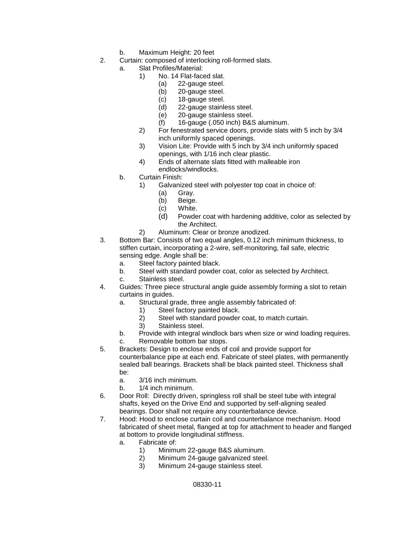- b. Maximum Height: 20 feet
- 2. Curtain: composed of interlocking roll-formed slats.
	- a. Slat Profiles/Material:
		- 1) No. 14 Flat-faced slat.
			- (a) 22-gauge steel.
				- (b) 20-gauge steel.
				- (c) 18-gauge steel.
				- (d) 22-gauge stainless steel.
				- (e) 20-gauge stainless steel.
				- $(f)$  16-gauge (.050 inch) B&S aluminum.
		- 2) For fenestrated service doors, provide slats with 5 inch by 3/4 inch uniformly spaced openings.
		- 3) Vision Lite: Provide with 5 inch by 3/4 inch uniformly spaced openings, with 1/16 inch clear plastic.
		- 4) Ends of alternate slats fitted with malleable iron endlocks/windlocks.
	- b. Curtain Finish:
		- 1) Galvanized steel with polyester top coat in choice of:
			- (a) Gray.
			- (b) Beige.
			- (c) White.
			- (d) Powder coat with hardening additive, color as selected by the Architect.
		- 2) Aluminum: Clear or bronze anodized.
- 3. Bottom Bar: Consists of two equal angles, 0.12 inch minimum thickness, to stiffen curtain, incorporating a 2-wire, self-monitoring, fail safe, electric sensing edge. Angle shall be:
	- a. Steel factory painted black.
	- b. Steel with standard powder coat, color as selected by Architect.
	- c. Stainless steel.
- 4. Guides: Three piece structural angle guide assembly forming a slot to retain curtains in guides.
	- a. Structural grade, three angle assembly fabricated of:
		- 1) Steel factory painted black.
		- 2) Steel with standard powder coat, to match curtain.
		- 3) Stainless steel.
	- b. Provide with integral windlock bars when size or wind loading requires.
	- c. Removable bottom bar stops.
- 5. Brackets: Design to enclose ends of coil and provide support for counterbalance pipe at each end. Fabricate of steel plates, with permanently sealed ball bearings. Brackets shall be black painted steel. Thickness shall be:
	- a. 3/16 inch minimum.
	- b. 1/4 inch minimum.
- 6. Door Roll: Directly driven, springless roll shall be steel tube with integral shafts, keyed on the Drive End and supported by self-aligning sealed bearings. Door shall not require any counterbalance device.
- 7. Hood: Hood to enclose curtain coil and counterbalance mechanism. Hood fabricated of sheet metal, flanged at top for attachment to header and flanged at bottom to provide longitudinal stiffness.
	- a. Fabricate of:
		- 1) Minimum 22-gauge B&S aluminum.
		- 2) Minimum 24-gauge galvanized steel.
			- Minimum 24-gauge stainless steel.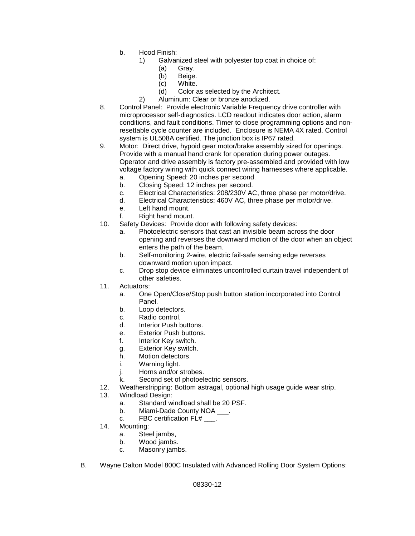- b. Hood Finish:
	- 1) Galvanized steel with polyester top coat in choice of:
		- (a) Gray.
		- (b) Beige.
		- (c) White.
		- (d) Color as selected by the Architect.
	- 2) Aluminum: Clear or bronze anodized.
- 8. Control Panel: Provide electronic Variable Frequency drive controller with microprocessor self-diagnostics. LCD readout indicates door action, alarm conditions, and fault conditions. Timer to close programming options and nonresettable cycle counter are included. Enclosure is NEMA 4X rated. Control system is UL508A certified. The junction box is IP67 rated.
- 9. Motor: Direct drive, hypoid gear motor/brake assembly sized for openings. Provide with a manual hand crank for operation during power outages. Operator and drive assembly is factory pre-assembled and provided with low voltage factory wiring with quick connect wiring harnesses where applicable.
	- a. Opening Speed: 20 inches per second.
	- b. Closing Speed: 12 inches per second.
	- c. Electrical Characteristics: 208/230V AC, three phase per motor/drive.
	- d. Electrical Characteristics: 460V AC, three phase per motor/drive.
	- e. Left hand mount.
	- f. Right hand mount.
- 10. Safety Devices: Provide door with following safety devices:
	- a. Photoelectric sensors that cast an invisible beam across the door opening and reverses the downward motion of the door when an object enters the path of the beam.
	- b. Self-monitoring 2-wire, electric fail-safe sensing edge reverses downward motion upon impact.
	- c. Drop stop device eliminates uncontrolled curtain travel independent of other safeties.
- 11. Actuators:
	- a. One Open/Close/Stop push button station incorporated into Control Panel.
	- b. Loop detectors.
	- c. Radio control.
	- d. Interior Push buttons.
	- e. Exterior Push buttons.
	- f. Interior Key switch.
	- g. Exterior Key switch.
	- h. Motion detectors.
	- i. Warning light.
	- j. Horns and/or strobes.
	- k. Second set of photoelectric sensors.
- 12. Weatherstripping: Bottom astragal, optional high usage guide wear strip.
- 13. Windload Design:
	- a. Standard windload shall be 20 PSF.
	- b. Miami-Dade County NOA .
	- c. FBC certification FL# \_\_\_.
- 14. Mounting:
	- a. Steel jambs,
	- b. Wood jambs.
	- c. Masonry jambs.
- B. Wayne Dalton Model 800C Insulated with Advanced Rolling Door System Options: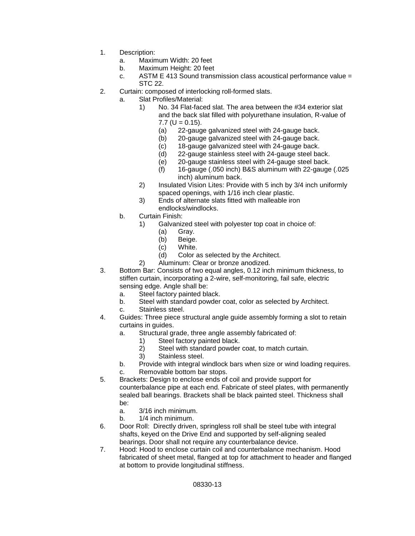- 1. Description:
	- a. Maximum Width: 20 feet
	- b. Maximum Height: 20 feet<br>c. ASTM E 413 Sound trans
	- ASTM E 413 Sound transmission class acoustical performance value  $=$ STC 22.
- 2. Curtain: composed of interlocking roll-formed slats.
	- a. Slat Profiles/Material:
		- 1) No. 34 Flat-faced slat. The area between the #34 exterior slat and the back slat filled with polyurethane insulation, R-value of  $7.7$  (U = 0.15).
			- (a) 22-gauge galvanized steel with 24-gauge back.
			- (b) 20-gauge galvanized steel with 24-gauge back.
			- (c) 18-gauge galvanized steel with 24-gauge back.
			- (d) 22-gauge stainless steel with 24-gauge steel back.
			- (e) 20-gauge stainless steel with 24-gauge steel back.
			- (f) 16-gauge (.050 inch) B&S aluminum with 22-gauge (.025 inch) aluminum back.
		- 2) Insulated Vision Lites: Provide with 5 inch by 3/4 inch uniformly spaced openings, with 1/16 inch clear plastic.
		- 3) Ends of alternate slats fitted with malleable iron endlocks/windlocks.
	- b. Curtain Finish:
		- 1) Galvanized steel with polyester top coat in choice of:
			- (a) Gray.
			- (b) Beige.
			-
			- (c) White.<br>(d) Color a Color as selected by the Architect.
		- 2) Aluminum: Clear or bronze anodized.
- 3. Bottom Bar: Consists of two equal angles, 0.12 inch minimum thickness, to stiffen curtain, incorporating a 2-wire, self-monitoring, fail safe, electric sensing edge. Angle shall be:
	- a. Steel factory painted black.
	- b. Steel with standard powder coat, color as selected by Architect.
	- c. Stainless steel.
- 4. Guides: Three piece structural angle guide assembly forming a slot to retain curtains in guides.
	- a. Structural grade, three angle assembly fabricated of:
		- 1) Steel factory painted black.
		- 2) Steel with standard powder coat, to match curtain.
		- 3) Stainless steel.
	- b. Provide with integral windlock bars when size or wind loading requires.
	- c. Removable bottom bar stops.
- 5. Brackets: Design to enclose ends of coil and provide support for counterbalance pipe at each end. Fabricate of steel plates, with permanently sealed ball bearings. Brackets shall be black painted steel. Thickness shall be:
	- a. 3/16 inch minimum.
	- b. 1/4 inch minimum.
- 6. Door Roll: Directly driven, springless roll shall be steel tube with integral shafts, keyed on the Drive End and supported by self-aligning sealed bearings. Door shall not require any counterbalance device.
- 7. Hood: Hood to enclose curtain coil and counterbalance mechanism. Hood fabricated of sheet metal, flanged at top for attachment to header and flanged at bottom to provide longitudinal stiffness.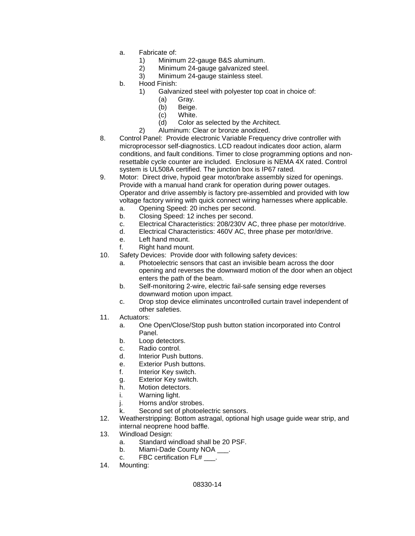- a. Fabricate of:
	- 1) Minimum 22-gauge B&S aluminum.
	- 2) Minimum 24-gauge galvanized steel.<br>3) Minimum 24-gauge stainless steel.
	- Minimum 24-gauge stainless steel.
- b. Hood Finish:
	- 1) Galvanized steel with polyester top coat in choice of:
		- (a) Gray.
		- (b) Beige.
		- (c) White.
		- (d) Color as selected by the Architect.
	- 2) Aluminum: Clear or bronze anodized.
- 8. Control Panel: Provide electronic Variable Frequency drive controller with microprocessor self-diagnostics. LCD readout indicates door action, alarm conditions, and fault conditions. Timer to close programming options and nonresettable cycle counter are included. Enclosure is NEMA 4X rated. Control system is UL508A certified. The junction box is IP67 rated.
- 9. Motor: Direct drive, hypoid gear motor/brake assembly sized for openings. Provide with a manual hand crank for operation during power outages. Operator and drive assembly is factory pre-assembled and provided with low voltage factory wiring with quick connect wiring harnesses where applicable. a. Opening Speed: 20 inches per second.
	-
	- b. Closing Speed: 12 inches per second.
	- c. Electrical Characteristics: 208/230V AC, three phase per motor/drive.
	- d. Electrical Characteristics: 460V AC, three phase per motor/drive.
	- e. Left hand mount.
	- f. Right hand mount.
- 10. Safety Devices: Provide door with following safety devices:
	- a. Photoelectric sensors that cast an invisible beam across the door opening and reverses the downward motion of the door when an object enters the path of the beam.
	- b. Self-monitoring 2-wire, electric fail-safe sensing edge reverses downward motion upon impact.
	- c. Drop stop device eliminates uncontrolled curtain travel independent of other safeties.
- 11. Actuators:
	- a. One Open/Close/Stop push button station incorporated into Control Panel.
	- b. Loop detectors.
	- c. Radio control.
	- d. Interior Push buttons.
	- e. Exterior Push buttons.<br>f. Interior Kev switch.
	- Interior Key switch.
	- g. Exterior Key switch.
	- h. Motion detectors.
	- i. Warning light.
	- j. Horns and/or strobes.
	- k. Second set of photoelectric sensors.
- 12. Weatherstripping: Bottom astragal, optional high usage guide wear strip, and internal neoprene hood baffle.
- 13. Windload Design:
	- a. Standard windload shall be 20 PSF.
	- b. Miami-Dade County NOA \_\_\_\_.
	- c. FBC certification FL# \_\_\_.
- 14. Mounting: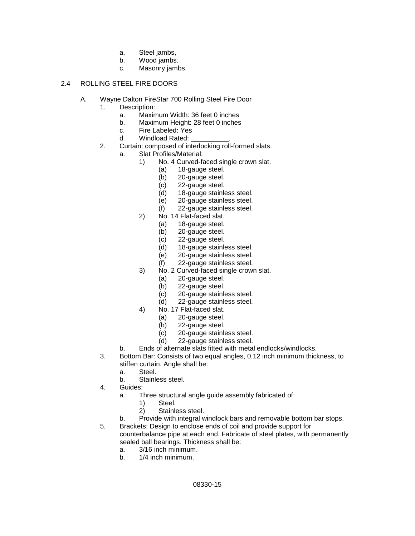- a. Steel jambs,
- b. Wood jambs.
- c. Masonry jambs.

# 2.4 ROLLING STEEL FIRE DOORS

- A. Wayne Dalton FireStar 700 Rolling Steel Fire Door
	- 1. Description:
		- a. Maximum Width: 36 feet 0 inches<br>b. Maximum Height: 28 feet 0 inches
		- Maximum Height: 28 feet 0 inches
		- c. Fire Labeled: Yes
		- d. Windload Rated:
	- 2. Curtain: composed of interlocking roll-formed slats.
		- a. Slat Profiles/Material:
			- 1) No. 4 Curved-faced single crown slat.
				- (a) 18-gauge steel.
				- (b) 20-gauge steel.
				- (c) 22-gauge steel.
				- (d) 18-gauge stainless steel.
				- (e) 20-gauge stainless steel.
				- (f) 22-gauge stainless steel.
			- 2) No. 14 Flat-faced slat.
				- (a) 18-gauge steel.
					- (b) 20-gauge steel.
					- (c) 22-gauge steel.
					- (d) 18-gauge stainless steel.
					- (e) 20-gauge stainless steel.
					- (f) 22-gauge stainless steel.
			- 3) No. 2 Curved-faced single crown slat.
				- (a) 20-gauge steel.
				- (b) 22-gauge steel.
				- (c) 20-gauge stainless steel.
				- (d) 22-gauge stainless steel.
			- 4) No. 17 Flat-faced slat.
				- (a) 20-gauge steel.
				- (b) 22-gauge steel.
				- (c) 20-gauge stainless steel.
				- (d) 22-gauge stainless steel.
		- b. Ends of alternate slats fitted with metal endlocks/windlocks.
	- 3. Bottom Bar: Consists of two equal angles, 0.12 inch minimum thickness, to stiffen curtain. Angle shall be:
		- a. Steel.
		- b. Stainless steel.
	- 4. Guides:
		- a. Three structural angle guide assembly fabricated of:
			- 1) Steel.
			- 2) Stainless steel.
		- b. Provide with integral windlock bars and removable bottom bar stops.
	- 5. Brackets: Design to enclose ends of coil and provide support for counterbalance pipe at each end. Fabricate of steel plates, with permanently sealed ball bearings. Thickness shall be:
		- a. 3/16 inch minimum.
		- b. 1/4 inch minimum.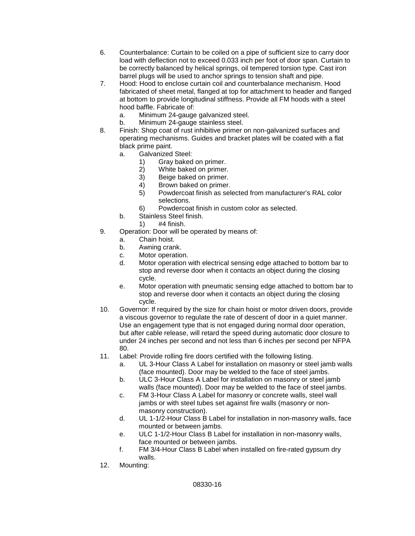- 6. Counterbalance: Curtain to be coiled on a pipe of sufficient size to carry door load with deflection not to exceed 0.033 inch per foot of door span. Curtain to be correctly balanced by helical springs, oil tempered torsion type. Cast iron barrel plugs will be used to anchor springs to tension shaft and pipe.
- 7. Hood: Hood to enclose curtain coil and counterbalance mechanism. Hood fabricated of sheet metal, flanged at top for attachment to header and flanged at bottom to provide longitudinal stiffness. Provide all FM hoods with a steel hood baffle. Fabricate of:
	- a. Minimum 24-gauge galvanized steel.
	- Minimum 24-gauge stainless steel.
- 8. Finish: Shop coat of rust inhibitive primer on non-galvanized surfaces and operating mechanisms. Guides and bracket plates will be coated with a flat black prime paint.
	- a. Galvanized Steel:
		- 1) Gray baked on primer.<br>2) White baked on primer
		- White baked on primer.
		- 3) Beige baked on primer.
		- 4) Brown baked on primer.
		- 5) Powdercoat finish as selected from manufacturer's RAL color selections.
		- 6) Powdercoat finish in custom color as selected.
	- b. Stainless Steel finish.
		- 1) #4 finish.
- 9. Operation: Door will be operated by means of:
	- a. Chain hoist.
	- b. Awning crank.
	- c. Motor operation.
	- d. Motor operation with electrical sensing edge attached to bottom bar to stop and reverse door when it contacts an object during the closing cycle.
	- e. Motor operation with pneumatic sensing edge attached to bottom bar to stop and reverse door when it contacts an object during the closing cycle.
- 10. Governor: If required by the size for chain hoist or motor driven doors, provide a viscous governor to regulate the rate of descent of door in a quiet manner. Use an engagement type that is not engaged during normal door operation, but after cable release, will retard the speed during automatic door closure to under 24 inches per second and not less than 6 inches per second per NFPA 80.
- 11. Label: Provide rolling fire doors certified with the following listing.
	- a. UL 3-Hour Class A Label for installation on masonry or steel jamb walls (face mounted). Door may be welded to the face of steel jambs.
	- b. ULC 3-Hour Class A Label for installation on masonry or steel jamb walls (face mounted). Door may be welded to the face of steel jambs.
	- c. FM 3-Hour Class A Label for masonry or concrete walls, steel wall jambs or with steel tubes set against fire walls (masonry or nonmasonry construction).
	- d. UL 1-1/2-Hour Class B Label for installation in non-masonry walls, face mounted or between jambs.
	- e. ULC 1-1/2-Hour Class B Label for installation in non-masonry walls, face mounted or between jambs.
	- f. FM 3/4-Hour Class B Label when installed on fire-rated gypsum dry walls.
- 12. Mounting: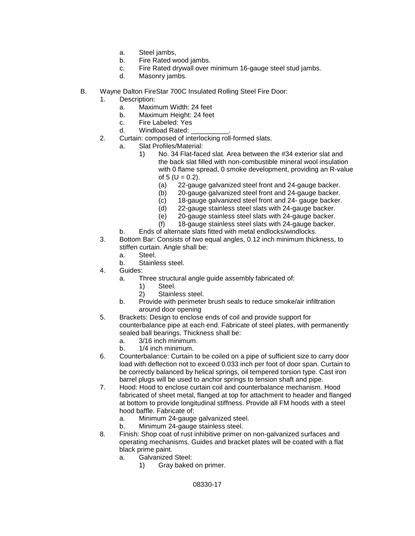- a. Steel jambs,
- b. Fire Rated wood jambs.
- c. Fire Rated drywall over minimum 16-gauge steel stud jambs.<br>d. Masonry jambs
- Masonry jambs.
- B. Wayne Dalton FireStar 700C Insulated Rolling Steel Fire Door:
	- 1. Description:
		- a. Maximum Width: 24 feet
		- b. Maximum Height: 24 feet
		- c. Fire Labeled: Yes
		- d. Windload Rated:
	- 2. Curtain: composed of interlocking roll-formed slats.
		- a. Slat Profiles/Material:
			- 1) No. 34 Flat-faced slat. Area between the #34 exterior slat and the back slat filled with non-combustible mineral wool insulation with 0 flame spread, 0 smoke development, providing an R-value of  $5 (U = 0.2)$ .
				- (a) 22-gauge galvanized steel front and 24-gauge backer.
				- (b) 20-gauge galvanized steel front and 24-gauge backer.
				- (c) 18-gauge galvanized steel front and 24- gauge backer.
				- (d) 22-gauge stainless steel slats with 24-gauge backer.
				- (e) 20-gauge stainless steel slats with 24-gauge backer.
				- (f) 18-gauge stainless steel slats with 24-gauge backer.
		- b. Ends of alternate slats fitted with metal endlocks/windlocks.
	- 3. Bottom Bar: Consists of two equal angles, 0.12 inch minimum thickness, to stiffen curtain. Angle shall be:
		- a. Steel.
		- b. Stainless steel.
	- 4. Guides:
		- a. Three structural angle guide assembly fabricated of:
			- 1) Steel.<br>2) Staink
			- Stainless steel.
		- b. Provide with perimeter brush seals to reduce smoke/air infiltration around door opening
	- 5. Brackets: Design to enclose ends of coil and provide support for counterbalance pipe at each end. Fabricate of steel plates, with permanently sealed ball bearings. Thickness shall be:
		- a. 3/16 inch minimum.
		- b. 1/4 inch minimum.
	- 6. Counterbalance: Curtain to be coiled on a pipe of sufficient size to carry door load with deflection not to exceed 0.033 inch per foot of door span. Curtain to be correctly balanced by helical springs, oil tempered torsion type. Cast iron barrel plugs will be used to anchor springs to tension shaft and pipe.
	- 7. Hood: Hood to enclose curtain coil and counterbalance mechanism. Hood fabricated of sheet metal, flanged at top for attachment to header and flanged at bottom to provide longitudinal stiffness. Provide all FM hoods with a steel hood baffle. Fabricate of:
		- a. Minimum 24-gauge galvanized steel.
		- b. Minimum 24-gauge stainless steel.
	- 8. Finish: Shop coat of rust inhibitive primer on non-galvanized surfaces and operating mechanisms. Guides and bracket plates will be coated with a flat black prime paint.
		- a. Galvanized Steel:<br>1) Gray baked
			- Gray baked on primer.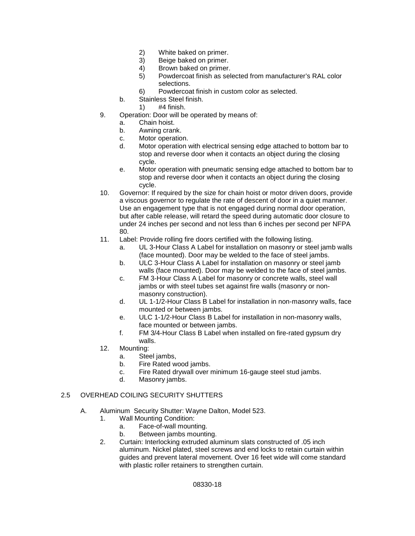- 2) White baked on primer.
- 3) Beige baked on primer.
- 4) Brown baked on primer.
- 5) Powdercoat finish as selected from manufacturer's RAL color selections.
- 6) Powdercoat finish in custom color as selected.
- b. Stainless Steel finish.
	- 1) #4 finish.
- 9. Operation: Door will be operated by means of:
	- a. Chain hoist.
	- b. Awning crank.
	- c. Motor operation.
	- d. Motor operation with electrical sensing edge attached to bottom bar to stop and reverse door when it contacts an object during the closing cycle.
	- e. Motor operation with pneumatic sensing edge attached to bottom bar to stop and reverse door when it contacts an object during the closing cycle.
- 10. Governor: If required by the size for chain hoist or motor driven doors, provide a viscous governor to regulate the rate of descent of door in a quiet manner. Use an engagement type that is not engaged during normal door operation, but after cable release, will retard the speed during automatic door closure to under 24 inches per second and not less than 6 inches per second per NFPA 80.
- 11. Label: Provide rolling fire doors certified with the following listing.
	- a. UL 3-Hour Class A Label for installation on masonry or steel jamb walls (face mounted). Door may be welded to the face of steel jambs.
	- b. ULC 3-Hour Class A Label for installation on masonry or steel jamb walls (face mounted). Door may be welded to the face of steel jambs.
	- c. FM 3-Hour Class A Label for masonry or concrete walls, steel wall jambs or with steel tubes set against fire walls (masonry or nonmasonry construction).
	- d. UL 1-1/2-Hour Class B Label for installation in non-masonry walls, face mounted or between jambs.
	- e. ULC 1-1/2-Hour Class B Label for installation in non-masonry walls, face mounted or between jambs.
	- f. FM 3/4-Hour Class B Label when installed on fire-rated gypsum dry walls.
- 12. Mounting:
	- a. Steel jambs,
	- b. Fire Rated wood jambs.
	- c. Fire Rated drywall over minimum 16-gauge steel stud jambs.
	- d. Masonry jambs.

# 2.5 OVERHEAD COILING SECURITY SHUTTERS

- A. Aluminum Security Shutter: Wayne Dalton, Model 523.
	- 1. Wall Mounting Condition:
		- a. Face-of-wall mounting.
		- b. Between jambs mounting.
	- 2. Curtain: Interlocking extruded aluminum slats constructed of .05 inch aluminum. Nickel plated, steel screws and end locks to retain curtain within guides and prevent lateral movement. Over 16 feet wide will come standard with plastic roller retainers to strengthen curtain.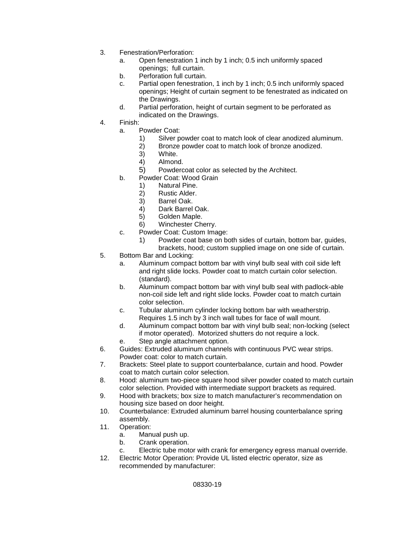- 3. Fenestration/Perforation:
	- a. Open fenestration 1 inch by 1 inch; 0.5 inch uniformly spaced openings; full curtain.
	- b. Perforation full curtain.
	- c. Partial open fenestration, 1 inch by 1 inch; 0.5 inch uniformly spaced openings; Height of curtain segment to be fenestrated as indicated on the Drawings.
	- d. Partial perforation, height of curtain segment to be perforated as indicated on the Drawings.
- 4. Finish:
	- a. Powder Coat:
		- 1) Silver powder coat to match look of clear anodized aluminum.<br>2) Bronze powder coat to match look of bronze anodized.
		- 2) Bronze powder coat to match look of bronze anodized.
		- 3) White.<br>4) Almone
		- 4) Almond.
		- 5) Powdercoat color as selected by the Architect.
	- b. Powder Coat: Wood Grain
		- 1) Natural Pine.
		- 2) Rustic Alder.
		- 3) Barrel Oak.
		- 4) Dark Barrel Oak.
		- 5) Golden Maple.
		- 6) Winchester Cherry.
	- c. Powder Coat: Custom Image:
		- 1) Powder coat base on both sides of curtain, bottom bar, guides, brackets, hood; custom supplied image on one side of curtain.
- 5. Bottom Bar and Locking:
	- a. Aluminum compact bottom bar with vinyl bulb seal with coil side left and right slide locks. Powder coat to match curtain color selection. (standard).
	- b. Aluminum compact bottom bar with vinyl bulb seal with padlock-able non-coil side left and right slide locks. Powder coat to match curtain color selection.
	- c. Tubular aluminum cylinder locking bottom bar with weatherstrip. Requires 1.5 inch by 3 inch wall tubes for face of wall mount.
	- d. Aluminum compact bottom bar with vinyl bulb seal; non-locking (select if motor operated). Motorized shutters do not require a lock.
	- e. Step angle attachment option.
- 6. Guides: Extruded aluminum channels with continuous PVC wear strips. Powder coat: color to match curtain.
- 7. Brackets: Steel plate to support counterbalance, curtain and hood. Powder coat to match curtain color selection.
- 8. Hood: aluminum two-piece square hood silver powder coated to match curtain color selection. Provided with intermediate support brackets as required.
- 9. Hood with brackets; box size to match manufacturer's recommendation on housing size based on door height.
- 10. Counterbalance: Extruded aluminum barrel housing counterbalance spring assembly.
- 11. Operation:
	- a. Manual push up.<br>b. Crank operation.
	- Crank operation.
	- c. Electric tube motor with crank for emergency egress manual override.
- 12. Electric Motor Operation: Provide UL listed electric operator, size as recommended by manufacturer: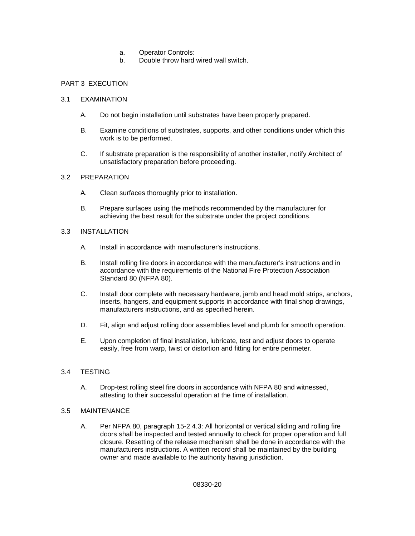- a. Operator Controls:
- b. Double throw hard wired wall switch.

# PART 3 EXECUTION

### 3.1 EXAMINATION

- A. Do not begin installation until substrates have been properly prepared.
- B. Examine conditions of substrates, supports, and other conditions under which this work is to be performed.
- C. If substrate preparation is the responsibility of another installer, notify Architect of unsatisfactory preparation before proceeding.

### 3.2 PREPARATION

- A. Clean surfaces thoroughly prior to installation.
- B. Prepare surfaces using the methods recommended by the manufacturer for achieving the best result for the substrate under the project conditions.

# 3.3 INSTALLATION

- A. Install in accordance with manufacturer's instructions.
- B. Install rolling fire doors in accordance with the manufacturer's instructions and in accordance with the requirements of the National Fire Protection Association Standard 80 (NFPA 80).
- C. Install door complete with necessary hardware, jamb and head mold strips, anchors, inserts, hangers, and equipment supports in accordance with final shop drawings, manufacturers instructions, and as specified herein.
- D. Fit, align and adjust rolling door assemblies level and plumb for smooth operation.
- E. Upon completion of final installation, lubricate, test and adjust doors to operate easily, free from warp, twist or distortion and fitting for entire perimeter.

# 3.4 TESTING

A. Drop-test rolling steel fire doors in accordance with NFPA 80 and witnessed, attesting to their successful operation at the time of installation.

#### 3.5 MAINTENANCE

A. Per NFPA 80, paragraph 15-2 4.3: All horizontal or vertical sliding and rolling fire doors shall be inspected and tested annually to check for proper operation and full closure. Resetting of the release mechanism shall be done in accordance with the manufacturers instructions. A written record shall be maintained by the building owner and made available to the authority having jurisdiction.